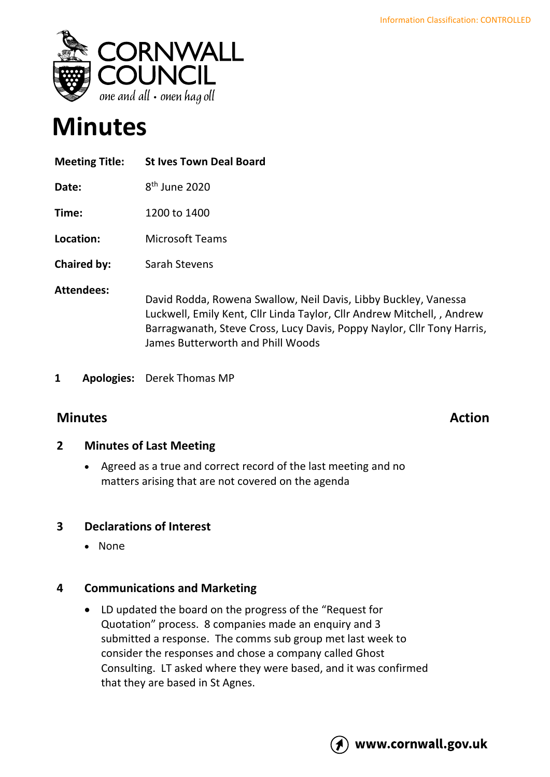

# **Minutes**

| <b>Meeting Title:</b> | <b>St Ives Town Deal Board</b>                                                                                                                                                                                                                            |
|-----------------------|-----------------------------------------------------------------------------------------------------------------------------------------------------------------------------------------------------------------------------------------------------------|
| Date:                 | 8 <sup>th</sup> June 2020                                                                                                                                                                                                                                 |
| Time:                 | 1200 to 1400                                                                                                                                                                                                                                              |
| Location:             | <b>Microsoft Teams</b>                                                                                                                                                                                                                                    |
| <b>Chaired by:</b>    | Sarah Stevens                                                                                                                                                                                                                                             |
| <b>Attendees:</b>     | David Rodda, Rowena Swallow, Neil Davis, Libby Buckley, Vanessa<br>Luckwell, Emily Kent, Cllr Linda Taylor, Cllr Andrew Mitchell, , Andrew<br>Barragwanath, Steve Cross, Lucy Davis, Poppy Naylor, Cllr Tony Harris,<br>James Butterworth and Phill Woods |

**1 Apologies:** Derek Thomas MP

# **Minutes Action**

### **2 Minutes of Last Meeting**

• Agreed as a true and correct record of the last meeting and no matters arising that are not covered on the agenda

### **3 Declarations of Interest**

• None

### **4 Communications and Marketing**

• LD updated the board on the progress of the "Request for Quotation" process. 8 companies made an enquiry and 3 submitted a response. The comms sub group met last week to consider the responses and chose a company called Ghost Consulting. LT asked where they were based, and it was confirmed that they are based in St Agnes.

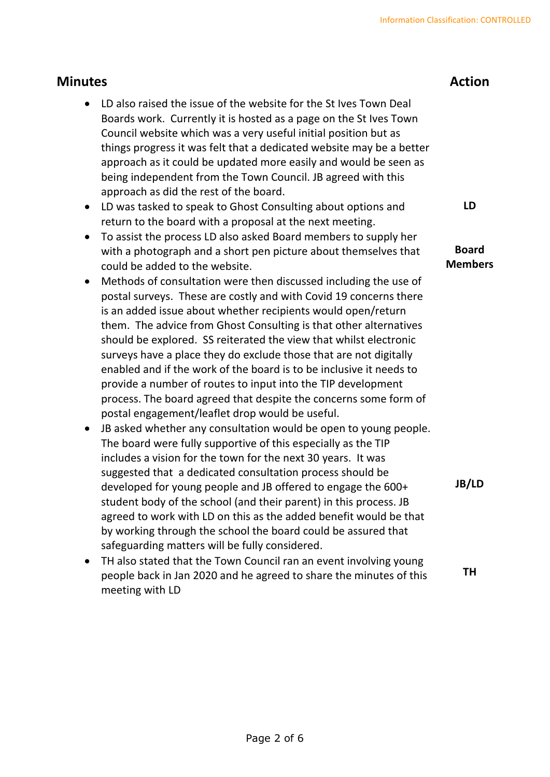| <b>Minutes</b>                                                                                                                                                                                                                                                                                                                                                                                                                                                                                                                                                                                                                                                                                  |                                |
|-------------------------------------------------------------------------------------------------------------------------------------------------------------------------------------------------------------------------------------------------------------------------------------------------------------------------------------------------------------------------------------------------------------------------------------------------------------------------------------------------------------------------------------------------------------------------------------------------------------------------------------------------------------------------------------------------|--------------------------------|
| LD also raised the issue of the website for the St Ives Town Deal<br>Boards work. Currently it is hosted as a page on the St Ives Town<br>Council website which was a very useful initial position but as<br>things progress it was felt that a dedicated website may be a better<br>approach as it could be updated more easily and would be seen as<br>being independent from the Town Council. JB agreed with this<br>approach as did the rest of the board.                                                                                                                                                                                                                                 |                                |
| LD was tasked to speak to Ghost Consulting about options and<br>$\bullet$                                                                                                                                                                                                                                                                                                                                                                                                                                                                                                                                                                                                                       | LD                             |
| return to the board with a proposal at the next meeting.<br>To assist the process LD also asked Board members to supply her<br>$\bullet$<br>with a photograph and a short pen picture about themselves that<br>could be added to the website.                                                                                                                                                                                                                                                                                                                                                                                                                                                   | <b>Board</b><br><b>Members</b> |
| Methods of consultation were then discussed including the use of<br>$\bullet$<br>postal surveys. These are costly and with Covid 19 concerns there<br>is an added issue about whether recipients would open/return<br>them. The advice from Ghost Consulting is that other alternatives<br>should be explored. SS reiterated the view that whilst electronic<br>surveys have a place they do exclude those that are not digitally<br>enabled and if the work of the board is to be inclusive it needs to<br>provide a number of routes to input into the TIP development<br>process. The board agreed that despite the concerns some form of<br>postal engagement/leaflet drop would be useful. |                                |
| JB asked whether any consultation would be open to young people.<br>The board were fully supportive of this especially as the TIP<br>includes a vision for the town for the next 30 years. It was<br>suggested that a dedicated consultation process should be<br>developed for young people and JB offered to engage the 600+<br>student body of the school (and their parent) in this process. JB<br>agreed to work with LD on this as the added benefit would be that<br>by working through the school the board could be assured that<br>safeguarding matters will be fully considered.                                                                                                     | <b>JB/LD</b>                   |
| TH also stated that the Town Council ran an event involving young<br>people back in Jan 2020 and he agreed to share the minutes of this<br>meeting with LD                                                                                                                                                                                                                                                                                                                                                                                                                                                                                                                                      | TΗ                             |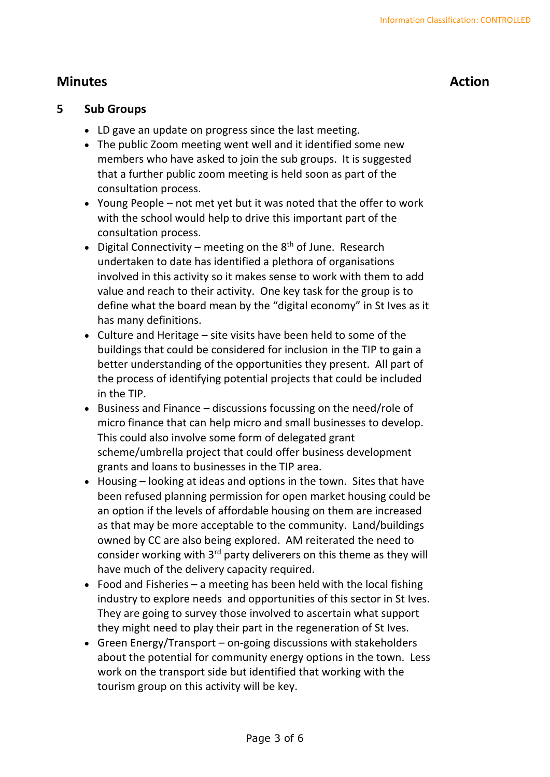# **Minutes Action**

#### **5 Sub Groups**

- LD gave an update on progress since the last meeting.
- The public Zoom meeting went well and it identified some new members who have asked to join the sub groups. It is suggested that a further public zoom meeting is held soon as part of the consultation process.
- Young People not met yet but it was noted that the offer to work with the school would help to drive this important part of the consultation process.
- Digital Connectivity meeting on the  $8<sup>th</sup>$  of June. Research undertaken to date has identified a plethora of organisations involved in this activity so it makes sense to work with them to add value and reach to their activity. One key task for the group is to define what the board mean by the "digital economy" in St Ives as it has many definitions.
- Culture and Heritage site visits have been held to some of the buildings that could be considered for inclusion in the TIP to gain a better understanding of the opportunities they present. All part of the process of identifying potential projects that could be included in the TIP.
- Business and Finance discussions focussing on the need/role of micro finance that can help micro and small businesses to develop. This could also involve some form of delegated grant scheme/umbrella project that could offer business development grants and loans to businesses in the TIP area.
- Housing looking at ideas and options in the town. Sites that have been refused planning permission for open market housing could be an option if the levels of affordable housing on them are increased as that may be more acceptable to the community. Land/buildings owned by CC are also being explored. AM reiterated the need to consider working with  $3<sup>rd</sup>$  party deliverers on this theme as they will have much of the delivery capacity required.
- Food and Fisheries a meeting has been held with the local fishing industry to explore needs and opportunities of this sector in St Ives. They are going to survey those involved to ascertain what support they might need to play their part in the regeneration of St Ives.
- Green Energy/Transport on-going discussions with stakeholders about the potential for community energy options in the town. Less work on the transport side but identified that working with the tourism group on this activity will be key.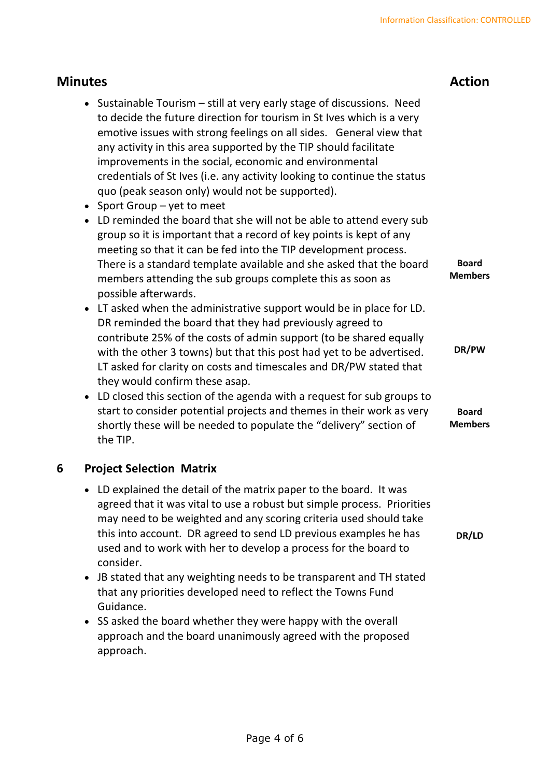#### **Minutes Action** • Sustainable Tourism – still at very early stage of discussions. Need to decide the future direction for tourism in St Ives which is a very emotive issues with strong feelings on all sides. General view that any activity in this area supported by the TIP should facilitate improvements in the social, economic and environmental credentials of St Ives (i.e. any activity looking to continue the status quo (peak season only) would not be supported). • Sport Group – yet to meet • LD reminded the board that she will not be able to attend every sub group so it is important that a record of key points is kept of any meeting so that it can be fed into the TIP development process. There is a standard template available and she asked that the board members attending the sub groups complete this as soon as possible afterwards. • LT asked when the administrative support would be in place for LD. DR reminded the board that they had previously agreed to contribute 25% of the costs of admin support (to be shared equally with the other 3 towns) but that this post had yet to be advertised. LT asked for clarity on costs and timescales and DR/PW stated that they would confirm these asap. • LD closed this section of the agenda with a request for sub groups to start to consider potential projects and themes in their work as very shortly these will be needed to populate the "delivery" section of the TIP. **Board Members DR/PW Board Members**

### **6 Project Selection Matrix**

- LD explained the detail of the matrix paper to the board. It was agreed that it was vital to use a robust but simple process. Priorities may need to be weighted and any scoring criteria used should take this into account. DR agreed to send LD previous examples he has used and to work with her to develop a process for the board to consider. **DR/LD**
- JB stated that any weighting needs to be transparent and TH stated that any priorities developed need to reflect the Towns Fund Guidance.
- SS asked the board whether they were happy with the overall approach and the board unanimously agreed with the proposed approach.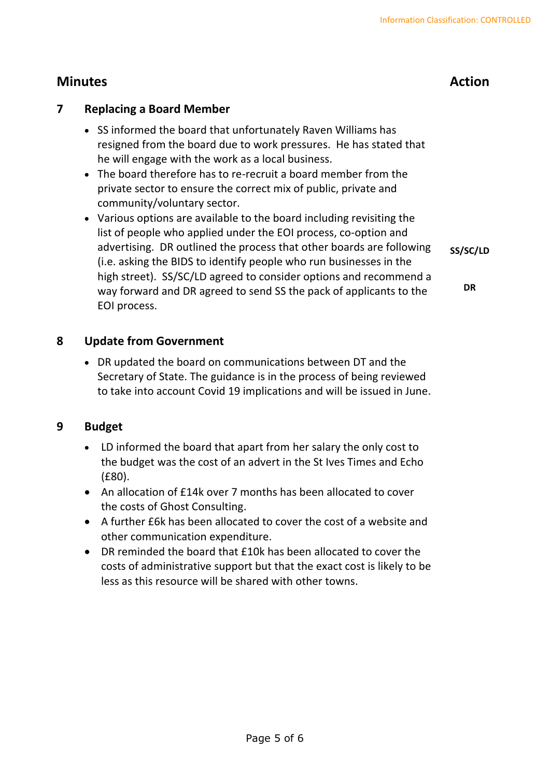# **Minutes Action**

#### **7 Replacing a Board Member**

- SS informed the board that unfortunately Raven Williams has resigned from the board due to work pressures. He has stated that he will engage with the work as a local business.
- The board therefore has to re-recruit a board member from the private sector to ensure the correct mix of public, private and community/voluntary sector.
- Various options are available to the board including revisiting the list of people who applied under the EOI process, co-option and advertising. DR outlined the process that other boards are following (i.e. asking the BIDS to identify people who run businesses in the high street). SS/SC/LD agreed to consider options and recommend a way forward and DR agreed to send SS the pack of applicants to the EOI process. **SS/SC/LD DR**

#### **8 Update from Government**

• DR updated the board on communications between DT and the Secretary of State. The guidance is in the process of being reviewed to take into account Covid 19 implications and will be issued in June.

#### **9 Budget**

- LD informed the board that apart from her salary the only cost to the budget was the cost of an advert in the St Ives Times and Echo (£80).
- An allocation of £14k over 7 months has been allocated to cover the costs of Ghost Consulting.
- A further £6k has been allocated to cover the cost of a website and other communication expenditure.
- DR reminded the board that £10k has been allocated to cover the costs of administrative support but that the exact cost is likely to be less as this resource will be shared with other towns.